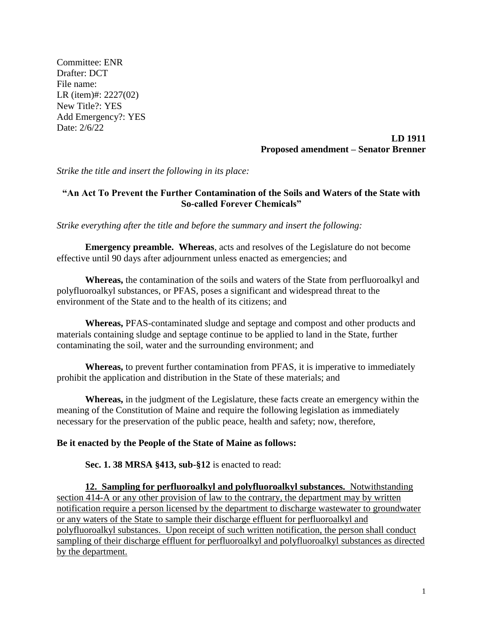Committee: ENR Drafter: DCT File name: LR (item)#: 2227(02) New Title?: YES Add Emergency?: YES Date: 2/6/22

## **LD 1911 Proposed amendment – Senator Brenner**

*Strike the title and insert the following in its place:*

## **"An Act To Prevent the Further Contamination of the Soils and Waters of the State with So-called Forever Chemicals"**

*Strike everything after the title and before the summary and insert the following:*

**Emergency preamble. Whereas**, acts and resolves of the Legislature do not become effective until 90 days after adjournment unless enacted as emergencies; and

**Whereas,** the contamination of the soils and waters of the State from perfluoroalkyl and polyfluoroalkyl substances, or PFAS, poses a significant and widespread threat to the environment of the State and to the health of its citizens; and

**Whereas,** PFAS-contaminated sludge and septage and compost and other products and materials containing sludge and septage continue to be applied to land in the State, further contaminating the soil, water and the surrounding environment; and

**Whereas,** to prevent further contamination from PFAS, it is imperative to immediately prohibit the application and distribution in the State of these materials; and

**Whereas,** in the judgment of the Legislature, these facts create an emergency within the meaning of the Constitution of Maine and require the following legislation as immediately necessary for the preservation of the public peace, health and safety; now, therefore,

## **Be it enacted by the People of the State of Maine as follows:**

**Sec. 1. 38 MRSA §413, sub-§12** is enacted to read:

**12. Sampling for perfluoroalkyl and polyfluoroalkyl substances.** Notwithstanding section 414-A or any other provision of law to the contrary, the department may by written notification require a person licensed by the department to discharge wastewater to groundwater or any waters of the State to sample their discharge effluent for perfluoroalkyl and polyfluoroalkyl substances. Upon receipt of such written notification, the person shall conduct sampling of their discharge effluent for perfluoroalkyl and polyfluoroalkyl substances as directed by the department.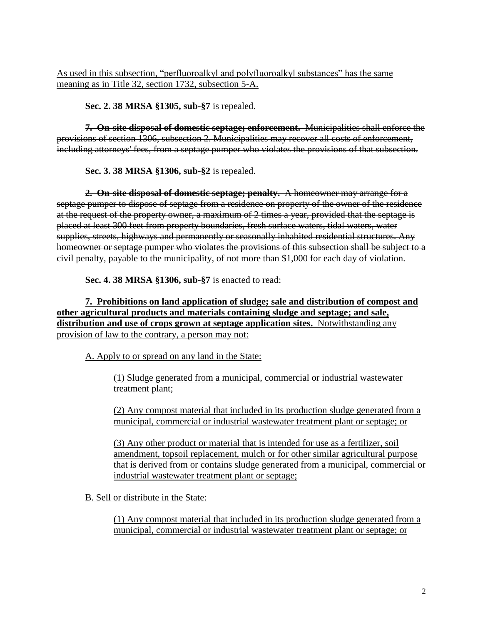As used in this subsection, "perfluoroalkyl and polyfluoroalkyl substances" has the same meaning as in Title 32, section 1732, subsection 5-A.

**Sec. 2. 38 MRSA §1305, sub-§7** is repealed.

**7. On-site disposal of domestic septage; enforcement.** Municipalities shall enforce the provisions of section 1306, subsection 2. Municipalities may recover all costs of enforcement, including attorneys' fees, from a septage pumper who violates the provisions of that subsection.

**Sec. 3. 38 MRSA §1306, sub-§2** is repealed.

**2. On-site disposal of domestic septage; penalty.** A homeowner may arrange for a septage pumper to dispose of septage from a residence on property of the owner of the residence at the request of the property owner, a maximum of 2 times a year, provided that the septage is placed at least 300 feet from property boundaries, fresh surface waters, tidal waters, water supplies, streets, highways and permanently or seasonally inhabited residential structures. Any homeowner or septage pumper who violates the provisions of this subsection shall be subject to a civil penalty, payable to the municipality, of not more than \$1,000 for each day of violation.

**Sec. 4. 38 MRSA §1306, sub-§7** is enacted to read:

**7. Prohibitions on land application of sludge; sale and distribution of compost and other agricultural products and materials containing sludge and septage; and sale, distribution and use of crops grown at septage application sites.** Notwithstanding any provision of law to the contrary, a person may not:

A. Apply to or spread on any land in the State:

(1) Sludge generated from a municipal, commercial or industrial wastewater treatment plant;

(2) Any compost material that included in its production sludge generated from a municipal, commercial or industrial wastewater treatment plant or septage; or

(3) Any other product or material that is intended for use as a fertilizer, soil amendment, topsoil replacement, mulch or for other similar agricultural purpose that is derived from or contains sludge generated from a municipal, commercial or industrial wastewater treatment plant or septage;

B. Sell or distribute in the State:

(1) Any compost material that included in its production sludge generated from a municipal, commercial or industrial wastewater treatment plant or septage; or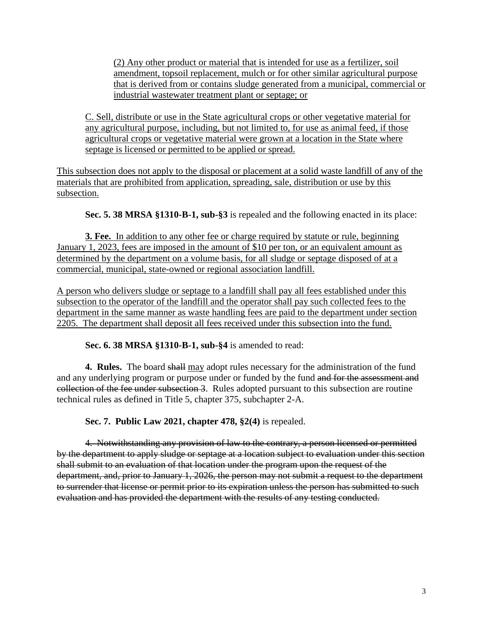(2) Any other product or material that is intended for use as a fertilizer, soil amendment, topsoil replacement, mulch or for other similar agricultural purpose that is derived from or contains sludge generated from a municipal, commercial or industrial wastewater treatment plant or septage; or

C. Sell, distribute or use in the State agricultural crops or other vegetative material for any agricultural purpose, including, but not limited to, for use as animal feed, if those agricultural crops or vegetative material were grown at a location in the State where septage is licensed or permitted to be applied or spread.

This subsection does not apply to the disposal or placement at a solid waste landfill of any of the materials that are prohibited from application, spreading, sale, distribution or use by this subsection.

**Sec. 5. 38 MRSA §1310-B-1, sub-§3** is repealed and the following enacted in its place:

**3. Fee.** In addition to any other fee or charge required by statute or rule, beginning January 1, 2023, fees are imposed in the amount of \$10 per ton, or an equivalent amount as determined by the department on a volume basis, for all sludge or septage disposed of at a commercial, municipal, state-owned or regional association landfill.

A person who delivers sludge or septage to a landfill shall pay all fees established under this subsection to the operator of the landfill and the operator shall pay such collected fees to the department in the same manner as waste handling fees are paid to the department under section 2205. The department shall deposit all fees received under this subsection into the fund.

**Sec. 6. 38 MRSA §1310-B-1, sub-§4** is amended to read:

**4. Rules.** The board shall may adopt rules necessary for the administration of the fund and any underlying program or purpose under or funded by the fund and for the assessment and collection of the fee under subsection 3. Rules adopted pursuant to this subsection are routine technical rules as defined in Title 5, chapter 375, subchapter 2-A.

**Sec. 7. Public Law 2021, chapter 478, §2(4)** is repealed.

4. Notwithstanding any provision of law to the contrary, a person licensed or permitted by the department to apply sludge or septage at a location subject to evaluation under this section shall submit to an evaluation of that location under the program upon the request of the department, and, prior to January 1, 2026, the person may not submit a request to the department to surrender that license or permit prior to its expiration unless the person has submitted to such evaluation and has provided the department with the results of any testing conducted.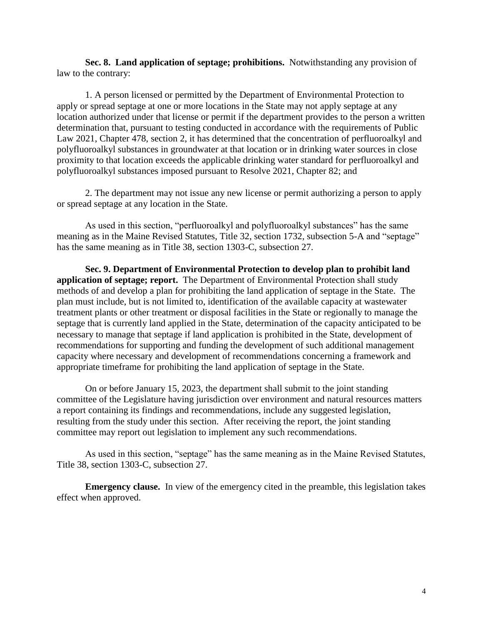**Sec. 8. Land application of septage; prohibitions.** Notwithstanding any provision of law to the contrary:

1. A person licensed or permitted by the Department of Environmental Protection to apply or spread septage at one or more locations in the State may not apply septage at any location authorized under that license or permit if the department provides to the person a written determination that, pursuant to testing conducted in accordance with the requirements of Public Law 2021, Chapter 478, section 2, it has determined that the concentration of perfluoroalkyl and polyfluoroalkyl substances in groundwater at that location or in drinking water sources in close proximity to that location exceeds the applicable drinking water standard for perfluoroalkyl and polyfluoroalkyl substances imposed pursuant to Resolve 2021, Chapter 82; and

2. The department may not issue any new license or permit authorizing a person to apply or spread septage at any location in the State.

As used in this section, "perfluoroalkyl and polyfluoroalkyl substances" has the same meaning as in the Maine Revised Statutes, Title 32, section 1732, subsection 5-A and "septage" has the same meaning as in Title 38, section 1303-C, subsection 27.

**Sec. 9. Department of Environmental Protection to develop plan to prohibit land application of septage; report.** The Department of Environmental Protection shall study methods of and develop a plan for prohibiting the land application of septage in the State. The plan must include, but is not limited to, identification of the available capacity at wastewater treatment plants or other treatment or disposal facilities in the State or regionally to manage the septage that is currently land applied in the State, determination of the capacity anticipated to be necessary to manage that septage if land application is prohibited in the State, development of recommendations for supporting and funding the development of such additional management capacity where necessary and development of recommendations concerning a framework and appropriate timeframe for prohibiting the land application of septage in the State.

On or before January 15, 2023, the department shall submit to the joint standing committee of the Legislature having jurisdiction over environment and natural resources matters a report containing its findings and recommendations, include any suggested legislation, resulting from the study under this section. After receiving the report, the joint standing committee may report out legislation to implement any such recommendations.

As used in this section, "septage" has the same meaning as in the Maine Revised Statutes, Title 38, section 1303-C, subsection 27.

**Emergency clause.** In view of the emergency cited in the preamble, this legislation takes effect when approved.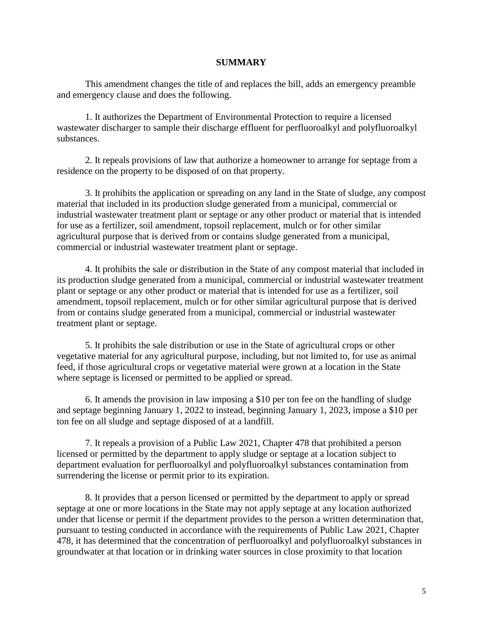## **SUMMARY**

This amendment changes the title of and replaces the bill, adds an emergency preamble and emergency clause and does the following.

1. It authorizes the Department of Environmental Protection to require a licensed wastewater discharger to sample their discharge effluent for perfluoroalkyl and polyfluoroalkyl substances.

2. It repeals provisions of law that authorize a homeowner to arrange for septage from a residence on the property to be disposed of on that property.

3. It prohibits the application or spreading on any land in the State of sludge, any compost material that included in its production sludge generated from a municipal, commercial or industrial wastewater treatment plant or septage or any other product or material that is intended for use as a fertilizer, soil amendment, topsoil replacement, mulch or for other similar agricultural purpose that is derived from or contains sludge generated from a municipal, commercial or industrial wastewater treatment plant or septage.

4. It prohibits the sale or distribution in the State of any compost material that included in its production sludge generated from a municipal, commercial or industrial wastewater treatment plant or septage or any other product or material that is intended for use as a fertilizer, soil amendment, topsoil replacement, mulch or for other similar agricultural purpose that is derived from or contains sludge generated from a municipal, commercial or industrial wastewater treatment plant or septage.

5. It prohibits the sale distribution or use in the State of agricultural crops or other vegetative material for any agricultural purpose, including, but not limited to, for use as animal feed, if those agricultural crops or vegetative material were grown at a location in the State where septage is licensed or permitted to be applied or spread.

6. It amends the provision in law imposing a \$10 per ton fee on the handling of sludge and septage beginning January 1, 2022 to instead, beginning January 1, 2023, impose a \$10 per ton fee on all sludge and septage disposed of at a landfill.

7. It repeals a provision of a Public Law 2021, Chapter 478 that prohibited a person licensed or permitted by the department to apply sludge or septage at a location subject to department evaluation for perfluoroalkyl and polyfluoroalkyl substances contamination from surrendering the license or permit prior to its expiration.

8. It provides that a person licensed or permitted by the department to apply or spread septage at one or more locations in the State may not apply septage at any location authorized under that license or permit if the department provides to the person a written determination that, pursuant to testing conducted in accordance with the requirements of Public Law 2021, Chapter 478, it has determined that the concentration of perfluoroalkyl and polyfluoroalkyl substances in groundwater at that location or in drinking water sources in close proximity to that location